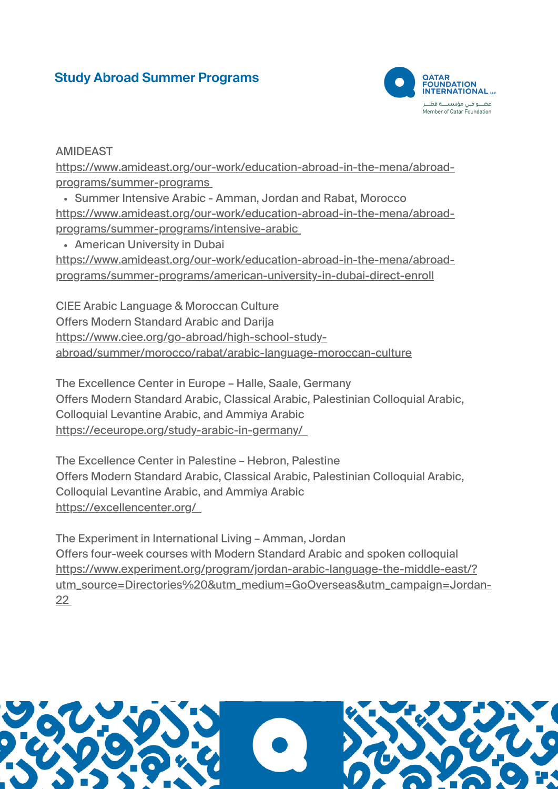## **Study Abroad Summer Programs**



## AMIDEAST

[https://www.amideast.org/our-work/education-abroad-in-the-mena/abroad](https://www.amideast.org/our-work/education-abroad-in-the-mena/abroad-programs/summer-programs)programs/summer-programs

Summer Intensive Arabic - Amman, Jordan and Rabat, Morocco [https://www.amideast.org/our-work/education-abroad-in-the-mena/abroad](https://www.amideast.org/our-work/education-abroad-in-the-mena/abroad-programs/summer-programs/intensive-arabic)programs/summer-programs/intensive-arabic

American University in Dubai

[https://www.amideast.org/our-work/education-abroad-in-the-mena/abroad](https://www.amideast.org/our-work/education-abroad-in-the-mena/abroad-programs/summer-programs/american-university-in-dubai-direct-enroll)programs/summer-programs/american-university-in-dubai-direct-enroll

CIEE Arabic Language & Moroccan Culture Offers Modern Standard Arabic and Darija https://www.ciee.org/go-abroad/high-school-study[abroad/summer/morocco/rabat/arabic-language-moroccan-culture](https://www.ciee.org/go-abroad/high-school-study-abroad/summer/morocco/rabat/arabic-language-moroccan-culture)

The Excellence Center in Europe – Halle, Saale, Germany Offers Modern Standard Arabic, Classical Arabic, Palestinian Colloquial Arabic, Colloquial Levantine Arabic, and Ammiya Arabic <https://eceurope.org/study-arabic-in-germany/>

The Excellence Center in Palestine – Hebron, Palestine Offers Modern Standard Arabic, Classical Arabic, Palestinian Colloquial Arabic, Colloquial Levantine Arabic, and Ammiya Arabic <https://excellencenter.org/>

The Experiment in International Living – Amman, Jordan Offers four-week courses with Modern Standard Arabic and spoken colloquial https://www.experiment.org/program/jordan-arabic-language-the-middle-east/? [utm\\_source=Directories%20&utm\\_medium=GoOverseas&utm\\_campaign=Jordan-](https://www.experiment.org/program/jordan-arabic-language-the-middle-east/?utm_source=Directories%20&utm_medium=GoOverseas&utm_campaign=Jordan-22)22

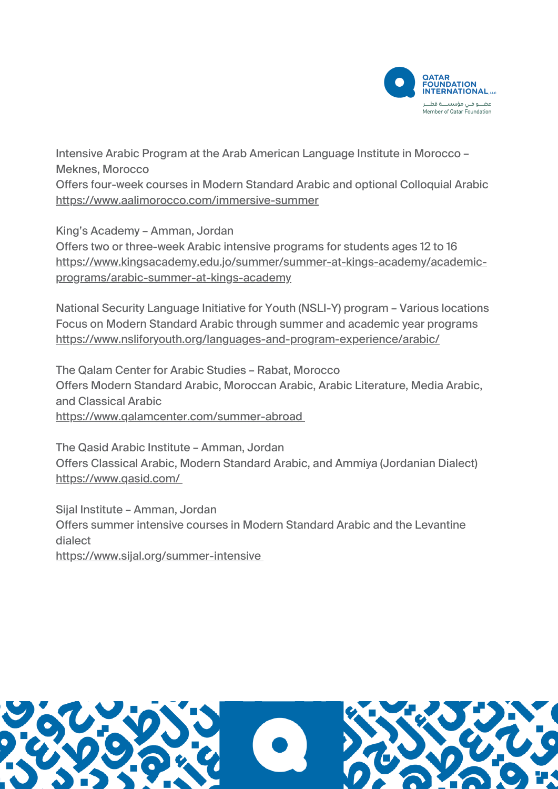

Intensive Arabic Program at the Arab American Language Institute in Morocco – Meknes, Morocco Offers four-week courses in Modern Standard Arabic and optional Colloquial Arabic <https://www.aalimorocco.com/immersive-summer>

King's Academy – Amman, Jordan Offers two or three-week Arabic intensive programs for students ages 12 to 16 [https://www.kingsacademy.edu.jo/summer/summer-at-kings-academy/academic](https://www.kingsacademy.edu.jo/summer/summer-at-kings-academy/academic-programs/arabic-summer-at-kings-academy)programs/arabic-summer-at-kings-academy

National Security Language Initiative for Youth (NSLI-Y) program – Various locations Focus on Modern Standard Arabic through summer and academic year programs <https://www.nsliforyouth.org/languages-and-program-experience/arabic/>

The Qalam Center for Arabic Studies – Rabat, Morocco Offers Modern Standard Arabic, Moroccan Arabic, Arabic Literature, Media Arabic, and Classical Arabic <https://www.qalamcenter.com/summer-abroad>

The Qasid Arabic Institute – Amman, Jordan Offers Classical Arabic, Modern Standard Arabic, and Ammiya (Jordanian Dialect) <https://www.qasid.com/>

Sijal Institute – Amman, Jordan Offers summer intensive courses in Modern Standard Arabic and the Levantine dialect

<https://www.sijal.org/summer-intensive>